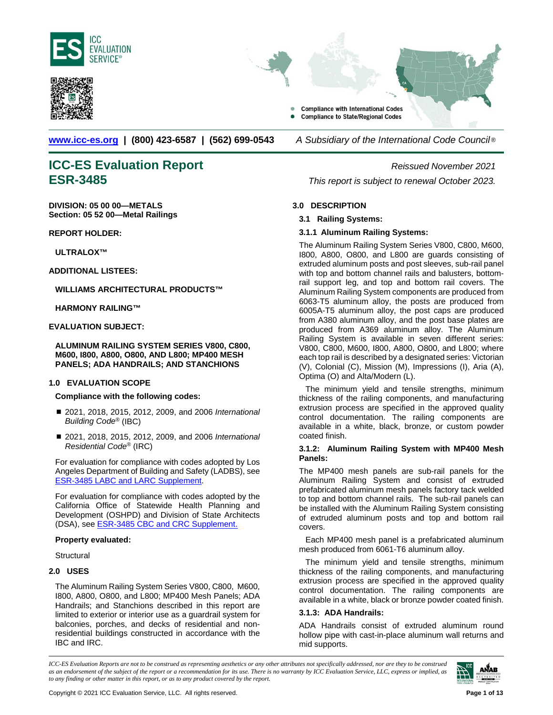<span id="page-0-0"></span>





**[www.icc-es.org](http://www.icc-es.org/) | (800) 423-6587 | (562) 699-0543** *A Subsidiary of the International Code Council* ®

# **ICC-ES Evaluation Report** *Reissued November 2021*

**DIVISION: 05 00 00—METALS Section: 05 52 00—Metal Railings**

**REPORT HOLDER:**

**ULTRALOX™**

**ADDITIONAL LISTEES:**

**WILLIAMS ARCHITECTURAL PRODUCTS™**

**HARMONY RAILING™**

#### **EVALUATION SUBJECT:**

**ALUMINUM RAILING SYSTEM SERIES V800, C800, M600, I800, A800, O800, AND L800; MP400 MESH PANELS; ADA HANDRAILS; AND STANCHIONS**

#### **1.0 EVALUATION SCOPE**

#### **Compliance with the following codes:**

- 2021, 2018, 2015, 2012, 2009, and 2006 *International Building Code®* (IBC)
- 2021, 2018, 2015, 2012, 2009, and 2006 *International Residential Code®* (IRC)

For evaluation for compliance with codes adopted by Los Angeles Department of Building and Safety (LADBS), see ESR-3485 [LABC and LARC Supplement.](#page-9-0) 

For evaluation for compliance with codes adopted by the California Office of Statewide Health Planning and Development (OSHPD) and Division of State Architects (DSA), se[e ESR-3485 CBC and CRC Supplement.](#page-10-0)

#### **Property evaluated:**

**Structural** 

### **2.0 USES**

The Aluminum Railing System Series V800, C800, M600, I800, A800, O800, and L800; MP400 Mesh Panels; ADA Handrails; and Stanchions described in this report are limited to exterior or interior use as a guardrail system for balconies, porches, and decks of residential and nonresidential buildings constructed in accordance with the IBC and IRC.

**ESR-3485** *This report is subject to renewal October 2023.*

#### **3.0 DESCRIPTION**

#### **3.1 Railing Systems:**

#### **3.1.1 Aluminum Railing Systems:**

The Aluminum Railing System Series V800, C800, M600, I800, A800, O800, and L800 are guards consisting of extruded aluminum posts and post sleeves, sub-rail panel with top and bottom channel rails and balusters, bottomrail support leg, and top and bottom rail covers. The Aluminum Railing System components are produced from 6063-T5 aluminum alloy, the posts are produced from 6005A-T5 aluminum alloy, the post caps are produced from A380 aluminum alloy, and the post base plates are produced from A369 aluminum alloy. The Aluminum Railing System is available in seven different series: V800, C800, M600, I800, A800, O800, and L800; where each top rail is described by a designated series: Victorian (V), Colonial (C), Mission (M), Impressions (I), Aria (A), Optima (O) and Alta/Modern (L).

The minimum yield and tensile strengths, minimum thickness of the railing components, and manufacturing extrusion process are specified in the approved quality control documentation. The railing components are available in a white, black, bronze, or custom powder coated finish.

#### **3.1.2: Aluminum Railing System with MP400 Mesh Panels:**

The MP400 mesh panels are sub-rail panels for the Aluminum Railing System and consist of extruded prefabricated aluminum mesh panels factory tack welded to top and bottom channel rails. The sub-rail panels can be installed with the Aluminum Railing System consisting of extruded aluminum posts and top and bottom rail covers.

Each MP400 mesh panel is a prefabricated aluminum mesh produced from 6061-T6 aluminum alloy.

The minimum yield and tensile strengths, minimum thickness of the railing components, and manufacturing extrusion process are specified in the approved quality control documentation. The railing components are available in a white, black or bronze powder coated finish.

#### **3.1.3: ADA Handrails:**

ADA Handrails consist of extruded aluminum round hollow pipe with cast-in-place aluminum wall returns and mid supports.

*ICC-ES Evaluation Reports are not to be construed as representing aesthetics or any other attributes not specifically addressed, nor are they to be construed as an endorsement of the subject of the report or a recommendation for its use. There is no warranty by ICC Evaluation Service, LLC, express or implied, as to any finding or other matter in this report, or as to any product covered by the report.*

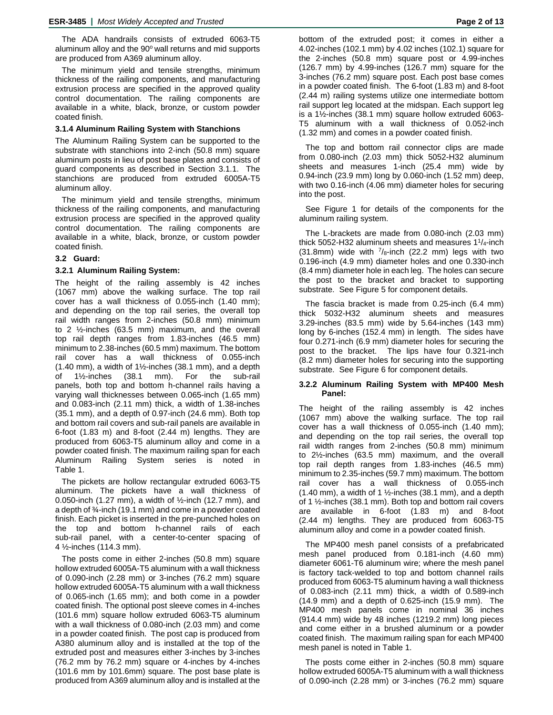The ADA handrails consists of extruded 6063-T5 aluminum alloy and the 90° wall returns and mid supports are produced from A369 aluminum alloy.

The minimum yield and tensile strengths, minimum thickness of the railing components, and manufacturing extrusion process are specified in the approved quality control documentation. The railing components are available in a white, black, bronze, or custom powder coated finish.

#### **3.1.4 Aluminum Railing System with Stanchions**

The Aluminum Railing System can be supported to the substrate with stanchions into 2-inch (50.8 mm) square aluminum posts in lieu of post base plates and consists of guard components as described in Section 3.1.1. The stanchions are produced from extruded 6005A-T5 aluminum alloy.

The minimum yield and tensile strengths, minimum thickness of the railing components, and manufacturing extrusion process are specified in the approved quality control documentation. The railing components are available in a white, black, bronze, or custom powder coated finish.

#### **3.2 Guard:**

#### **3.2.1 Aluminum Railing System:**

The height of the railing assembly is 42 inches (1067 mm) above the walking surface. The top rail cover has a wall thickness of 0.055-inch (1.40 mm); and depending on the top rail series, the overall top rail width ranges from 2-inches (50.8 mm) minimum to 2 ½-inches (63.5 mm) maximum, and the overall top rail depth ranges from 1.83-inches (46.5 mm) minimum to 2.38-inches (60.5 mm) maximum. The bottom rail cover has a wall thickness of 0.055-inch (1.40 mm), a width of 1½-inches (38.1 mm), and a depth of 1½-inches (38.1 mm). For the sub-rail panels, both top and bottom h-channel rails having a varying wall thicknesses between 0.065-inch (1.65 mm) and 0.083-inch (2.11 mm) thick, a width of 1.38-inches (35.1 mm), and a depth of 0.97-inch (24.6 mm). Both top and bottom rail covers and sub-rail panels are available in 6-foot (1.83 m) and 8-foot (2.44 m) lengths. They are produced from 6063-T5 aluminum alloy and come in a powder coated finish. The maximum railing span for each Aluminum Railing System series is noted in Table 1.

The pickets are hollow rectangular extruded 6063-T5 aluminum. The pickets have a wall thickness of 0.050-inch (1.27 mm), a width of  $\frac{1}{2}$ -inch (12.7 mm), and a depth of ¾-inch (19.1 mm) and come in a powder coated finish. Each picket is inserted in the pre-punched holes on the top and bottom h-channel rails of each sub-rail panel, with a center-to-center spacing of 4 ½-inches (114.3 mm).

The posts come in either 2-inches (50.8 mm) square hollow extruded 6005A-T5 aluminum with a wall thickness of 0.090-inch (2.28 mm) or 3-inches (76.2 mm) square hollow extruded 6005A-T5 aluminum with a wall thickness of 0.065-inch (1.65 mm); and both come in a powder coated finish. The optional post sleeve comes in 4-inches (101.6 mm) square hollow extruded 6063-T5 aluminum with a wall thickness of 0.080-inch (2.03 mm) and come in a powder coated finish. The post cap is produced from A380 aluminum alloy and is installed at the top of the extruded post and measures either 3-inches by 3-inches (76.2 mm by 76.2 mm) square or 4-inches by 4-inches (101.6 mm by 101.6mm) square. The post base plate is produced from A369 aluminum alloy and is installed at the bottom of the extruded post; it comes in either a 4.02-inches (102.1 mm) by 4.02 inches (102.1) square for the 2-inches (50.8 mm) square post or 4.99-inches (126.7 mm) by 4.99-inches (126.7 mm) square for the 3-inches (76.2 mm) square post. Each post base comes in a powder coated finish. The 6-foot (1.83 m) and 8-foot (2.44 m) railing systems utilize one intermediate bottom rail support leg located at the midspan. Each support leg is a 1½-inches (38.1 mm) square hollow extruded 6063- T5 aluminum with a wall thickness of 0.052-inch (1.32 mm) and comes in a powder coated finish.

The top and bottom rail connector clips are made from 0.080-inch (2.03 mm) thick 5052-H32 aluminum sheets and measures 1-inch (25.4 mm) wide by 0.94-inch (23.9 mm) long by 0.060-inch (1.52 mm) deep, with two 0.16-inch (4.06 mm) diameter holes for securing into the post.

See Figure 1 for details of the components for the aluminum railing system.

The L-brackets are made from 0.080-inch (2.03 mm) thick 5052-H32 aluminum sheets and measures 11/4-inch (31.8mm) wide with  $\frac{7}{8}$ -inch (22.2 mm) legs with two 0.196-inch (4.9 mm) diameter holes and one 0.330-inch (8.4 mm) diameter hole in each leg. The holes can secure the post to the bracket and bracket to supporting substrate. See Figure 5 for component details.

The fascia bracket is made from 0.25-inch (6.4 mm) thick 5032-H32 aluminum sheets and measures 3.29-inches (83.5 mm) wide by 5.64-inches (143 mm) long by 6-inches (152.4 mm) in length. The sides have four 0.271-inch (6.9 mm) diameter holes for securing the post to the bracket. The lips have four 0.321-inch (8.2 mm) diameter holes for securing into the supporting substrate. See Figure 6 for component details.

#### **3.2.2 Aluminum Railing System with MP400 Mesh Panel:**

The height of the railing assembly is 42 inches (1067 mm) above the walking surface. The top rail cover has a wall thickness of 0.055-inch (1.40 mm); and depending on the top rail series, the overall top rail width ranges from 2-inches (50.8 mm) minimum to 2½-inches (63.5 mm) maximum, and the overall top rail depth ranges from 1.83-inches (46.5 mm) minimum to 2.35-inches (59.7 mm) maximum. The bottom rail cover has a wall thickness of 0.055-inch  $(1.40 \text{ mm})$ , a width of 1 ½-inches  $(38.1 \text{ mm})$ , and a depth of 1 ½-inches (38.1 mm). Both top and bottom rail covers are available in 6-foot (1.83 m) and 8-foot (2.44 m) lengths. They are produced from 6063-T5 aluminum alloy and come in a powder coated finish.

The MP400 mesh panel consists of a prefabricated mesh panel produced from 0.181-inch (4.60 mm) diameter 6061-T6 aluminum wire; where the mesh panel is factory tack-welded to top and bottom channel rails produced from 6063-T5 aluminum having a wall thickness of 0.083-inch (2.11 mm) thick, a width of 0.589-inch (14.9 mm) and a depth of 0.625-inch (15.9 mm). The MP400 mesh panels come in nominal 36 inches (914.4 mm) wide by 48 inches (1219.2 mm) long pieces and come either in a brushed aluminum or a powder coated finish. The maximum railing span for each MP400 mesh panel is noted in Table 1.

The posts come either in 2-inches (50.8 mm) square hollow extruded 6005A-T5 aluminum with a wall thickness of 0.090-inch (2.28 mm) or 3-inches (76.2 mm) square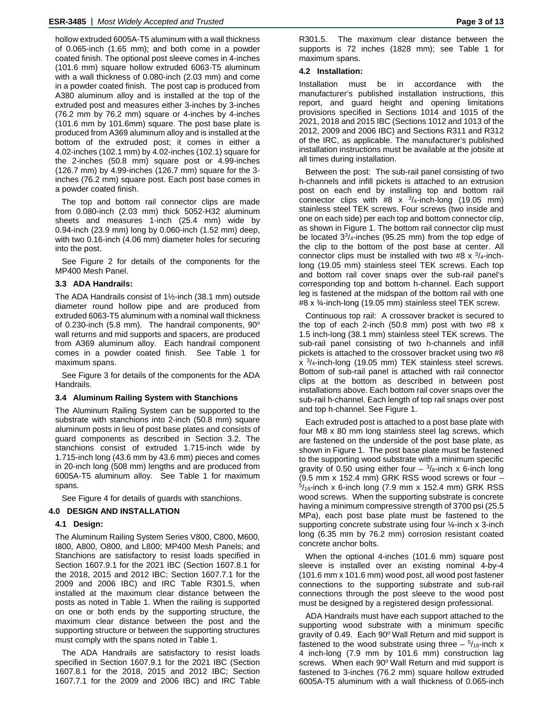hollow extruded 6005A-T5 aluminum with a wall thickness of 0.065-inch (1.65 mm); and both come in a powder coated finish. The optional post sleeve comes in 4-inches (101.6 mm) square hollow extruded 6063-T5 aluminum with a wall thickness of 0.080-inch (2.03 mm) and come in a powder coated finish. The post cap is produced from A380 aluminum alloy and is installed at the top of the extruded post and measures either 3-inches by 3-inches (76.2 mm by 76.2 mm) square or 4-inches by 4-inches (101.6 mm by 101.6mm) square. The post base plate is produced from A369 aluminum alloy and is installed at the bottom of the extruded post; it comes in either a 4.02-inches (102.1 mm) by 4.02-inches (102.1) square for the 2-inches (50.8 mm) square post or 4.99-inches (126.7 mm) by 4.99-inches (126.7 mm) square for the 3 inches (76.2 mm) square post. Each post base comes in a powder coated finish.

The top and bottom rail connector clips are made from 0.080-inch (2.03 mm) thick 5052-H32 aluminum sheets and measures 1-inch (25.4 mm) wide by 0.94-inch (23.9 mm) long by 0.060-inch (1.52 mm) deep, with two 0.16-inch (4.06 mm) diameter holes for securing into the post.

See Figure 2 for details of the components for the MP400 Mesh Panel.

#### **3.3 ADA Handrails:**

The ADA Handrails consist of 1½-inch (38.1 mm) outside diameter round hollow pipe and are produced from extruded 6063-T5 aluminum with a nominal wall thickness of 0.230-inch (5.8 mm). The handrail components,  $90^\circ$ wall returns and mid supports and spacers, are produced from A369 aluminum alloy. Each handrail component comes in a powder coated finish. See Table 1 for maximum spans.

See Figure 3 for details of the components for the ADA Handrails.

#### **3.4 Aluminum Railing System with Stanchions**

The Aluminum Railing System can be supported to the substrate with stanchions into 2-inch (50.8 mm) square aluminum posts in lieu of post base plates and consists of guard components as described in Section 3.2. The stanchions consist of extruded 1.715-inch wide by 1.715-inch long (43.6 mm by 43.6 mm) pieces and comes in 20-inch long (508 mm) lengths and are produced from 6005A-T5 aluminum alloy. See Table 1 for maximum spans.

See Figure 4 for details of guards with stanchions.

#### **4.0 DESIGN AND INSTALLATION**

#### **4.1 Design:**

The Aluminum Railing System Series V800, C800, M600, I800, A800, O800, and L800; MP400 Mesh Panels; and Stanchions are satisfactory to resist loads specified in Section 1607.9.1 for the 2021 IBC (Section 1607.8.1 for the 2018, 2015 and 2012 IBC; Section 1607.7.1 for the 2009 and 2006 IBC) and IRC Table R301.5, when installed at the maximum clear distance between the posts as noted in Table 1. When the railing is supported on one or both ends by the supporting structure, the maximum clear distance between the post and the supporting structure or between the supporting structures must comply with the spans noted in Table 1.

The ADA Handrails are satisfactory to resist loads specified in Section 1607.9.1 for the 2021 IBC (Section 1607.8.1 for the 2018, 2015 and 2012 IBC; Section 1607.7.1 for the 2009 and 2006 IBC) and IRC Table R301.5. The maximum clear distance between the supports is 72 inches (1828 mm); see Table 1 for maximum spans.

### **4.2 Installation:**

Installation must be in accordance with the manufacturer's published installation instructions, this report, and guard height and opening limitations provisions specified in Sections 1014 and 1015 of the 2021, 2018 and 2015 IBC (Sections 1012 and 1013 of the 2012, 2009 and 2006 IBC) and Sections R311 and R312 of the IRC, as applicable. The manufacturer's published installation instructions must be available at the jobsite at all times during installation.

Between the post: The sub-rail panel consisting of two h-channels and infill pickets is attached to an extrusion post on each end by installing top and bottom rail connector clips with #8  $\times$  3/4-inch-long (19.05 mm) stainless steel TEK screws. Four screws (two inside and one on each side) per each top and bottom connector clip, as shown in Figure 1. The bottom rail connector clip must be located 33/4-inches (95.25 mm) from the top edge of the clip to the bottom of the post base at center. All connector clips must be installed with two #8  $\times$  3/4-inchlong (19.05 mm) stainless steel TEK screws. Each top and bottom rail cover snaps over the sub-rail panel's corresponding top and bottom h-channel. Each support leg is fastened at the midspan of the bottom rail with one #8 x ¾-inch-long (19.05 mm) stainless steel TEK screw.

Continuous top rail: A crossover bracket is secured to the top of each 2-inch (50.8 mm) post with two #8 x 1.5 inch-long (38.1 mm) stainless steel TEK screws. The sub-rail panel consisting of two h-channels and infill pickets is attached to the crossover bracket using two #8 x 3/4-inch-long (19.05 mm) TEK stainless steel screws. Bottom of sub-rail panel is attached with rail connector clips at the bottom as described in between post installations above. Each bottom rail cover snaps over the sub-rail h-channel. Each length of top rail snaps over post and top h-channel. See Figure 1.

Each extruded post is attached to a post base plate with four M8 x 80 mm long stainless steel lag screws, which are fastened on the underside of the post base plate, as shown in Figure 1. The post base plate must be fastened to the supporting wood substrate with a minimum specific gravity of 0.50 using either four  $\frac{3}{8}$ -inch x 6-inch long (9.5 mm x 152.4 mm) GRK RSS wood screws or four –  $5/16$ -inch x 6-inch long (7.9 mm x 152.4 mm) GRK RSS wood screws. When the supporting substrate is concrete having a minimum compressive strength of 3700 psi (25.5 MPa), each post base plate must be fastened to the supporting concrete substrate using four ¼-inch x 3-inch long (6.35 mm by 76.2 mm) corrosion resistant coated concrete anchor bolts.

When the optional 4-inches (101.6 mm) square post sleeve is installed over an existing nominal 4-by-4 (101.6 mm x 101.6 mm) wood post, all wood post fastener connections to the supporting substrate and sub-rail connections through the post sleeve to the wood post must be designed by a registered design professional.

ADA Handrails must have each support attached to the supporting wood substrate with a minimum specific gravity of 0.49. Each 90° Wall Return and mid support is fastened to the wood substrate using three  $-5/16$ -inch x 4 inch-long (7.9 mm by 101.6 mm) construction lag screws. When each 90° Wall Return and mid support is fastened to 3-inches (76.2 mm) square hollow extruded 6005A-T5 aluminum with a wall thickness of 0.065-inch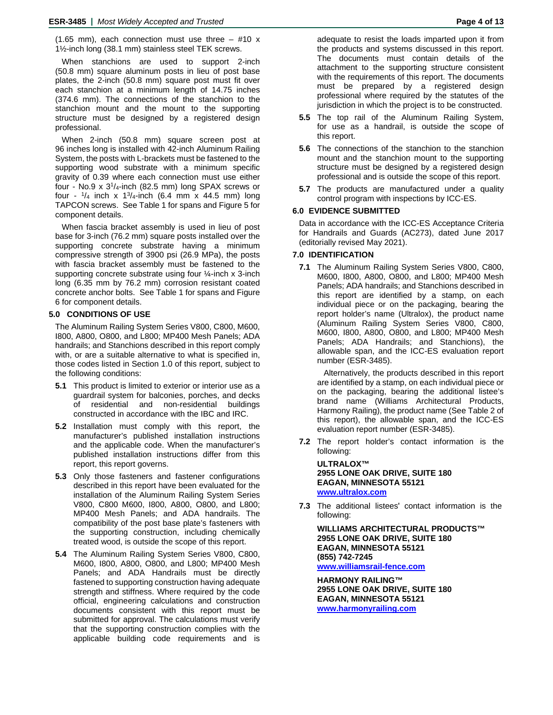(1.65 mm), each connection must use three  $-$  #10 x 1½-inch long (38.1 mm) stainless steel TEK screws.

When stanchions are used to support 2-inch (50.8 mm) square aluminum posts in lieu of post base plates, the 2-inch (50.8 mm) square post must fit over each stanchion at a minimum length of 14.75 inches (374.6 mm). The connections of the stanchion to the stanchion mount and the mount to the supporting structure must be designed by a registered design professional.

When 2-inch (50.8 mm) square screen post at 96 inches long is installed with 42-inch Aluminum Railing System, the posts with L-brackets must be fastened to the supporting wood substrate with a minimum specific gravity of 0.39 where each connection must use either four - No.9  $\times$  3<sup>1</sup>/<sub>4</sub>-inch (82.5 mm) long SPAX screws or four -  $\frac{1}{4}$  inch x  $\frac{13}{4}$ -inch (6.4 mm x 44.5 mm) long TAPCON screws. See Table 1 for spans and Figure 5 for component details.

When fascia bracket assembly is used in lieu of post base for 3-inch (76.2 mm) square posts installed over the supporting concrete substrate having a minimum compressive strength of 3900 psi (26.9 MPa), the posts with fascia bracket assembly must be fastened to the supporting concrete substrate using four 1/4-inch x 3-inch long (6.35 mm by 76.2 mm) corrosion resistant coated concrete anchor bolts. See Table 1 for spans and Figure 6 for component details.

#### **5.0 CONDITIONS OF USE**

The Aluminum Railing System Series V800, C800, M600, I800, A800, O800, and L800; MP400 Mesh Panels; ADA handrails; and Stanchions described in this report comply with, or are a suitable alternative to what is specified in, those codes listed in Section 1.0 of this report, subject to the following conditions:

- **5.1** This product is limited to exterior or interior use as a guardrail system for balconies, porches, and decks of residential and non-residential buildings constructed in accordance with the IBC and IRC.
- **5.2** Installation must comply with this report, the manufacturer's published installation instructions and the applicable code. When the manufacturer's published installation instructions differ from this report, this report governs.
- **5.3** Only those fasteners and fastener configurations described in this report have been evaluated for the installation of the Aluminum Railing System Series V800, C800 M600, I800, A800, O800, and L800; MP400 Mesh Panels; and ADA handrails. The compatibility of the post base plate's fasteners with the supporting construction, including chemically treated wood, is outside the scope of this report.
- **5.4** The Aluminum Railing System Series V800, C800, M600, I800, A800, O800, and L800; MP400 Mesh Panels; and ADA Handrails must be directly fastened to supporting construction having adequate strength and stiffness. Where required by the code official, engineering calculations and construction documents consistent with this report must be submitted for approval. The calculations must verify that the supporting construction complies with the applicable building code requirements and is

adequate to resist the loads imparted upon it from the products and systems discussed in this report. The documents must contain details of the attachment to the supporting structure consistent with the requirements of this report. The documents must be prepared by a registered design professional where required by the statutes of the jurisdiction in which the project is to be constructed.

- **5.5** The top rail of the Aluminum Railing System, for use as a handrail, is outside the scope of this report.
- **5.6** The connections of the stanchion to the stanchion mount and the stanchion mount to the supporting structure must be designed by a registered design professional and is outside the scope of this report.
- **5.7** The products are manufactured under a quality control program with inspections by ICC-ES.

#### **6.0 EVIDENCE SUBMITTED**

Data in accordance with the ICC-ES Acceptance Criteria for Handrails and Guards (AC273), dated June 2017 (editorially revised May 2021).

#### **7.0 IDENTIFICATION**

**7.1** The Aluminum Railing System Series V800, C800, M600, I800, A800, O800, and L800; MP400 Mesh Panels; ADA handrails; and Stanchions described in this report are identified by a stamp, on each individual piece or on the packaging, bearing the report holder's name (Ultralox), the product name (Aluminum Railing System Series V800, C800, M600, I800, A800, O800, and L800; MP400 Mesh Panels; ADA Handrails; and Stanchions), the allowable span, and the ICC-ES evaluation report number (ESR-3485).

Alternatively, the products described in this report are identified by a stamp, on each individual piece or on the packaging, bearing the additional listee's brand name (Williams Architectural Products, Harmony Railing), the product name (See Table 2 of this report), the allowable span, and the ICC-ES evaluation report number (ESR-3485).

**7.2** The report holder's contact information is the following:

**ULTRALOX™ 2955 LONE OAK DRIVE, SUITE 180 EAGAN, MINNESOTA 55121 [www.ultralox.com](http://www.ultralox.com/)**

**7.3** The additional listees' contact information is the following:

**WILLIAMS ARCHITECTURAL PRODUCTS™ 2955 LONE OAK DRIVE, SUITE 180 EAGAN, MINNESOTA 55121 (855) 742-7245 [www.williamsrail-fence.com](http://www.williamsrail-fence.com/)**

**HARMONY RAILING™ 2955 LONE OAK DRIVE, SUITE 180 EAGAN, MINNESOTA 55121 [www.harmonyrailing.com](http://www.harmonyrailing.com/)**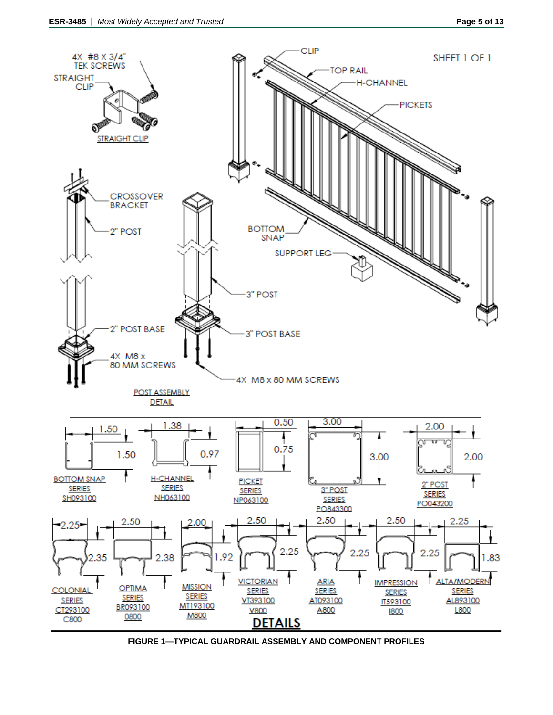

**FIGURE 1—TYPICAL GUARDRAIL ASSEMBLY AND COMPONENT PROFILES**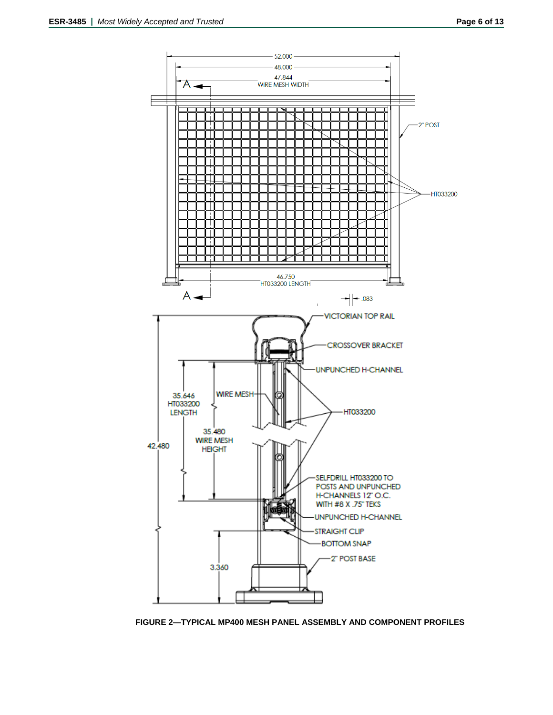

**FIGURE 2—TYPICAL MP400 MESH PANEL ASSEMBLY AND COMPONENT PROFILES**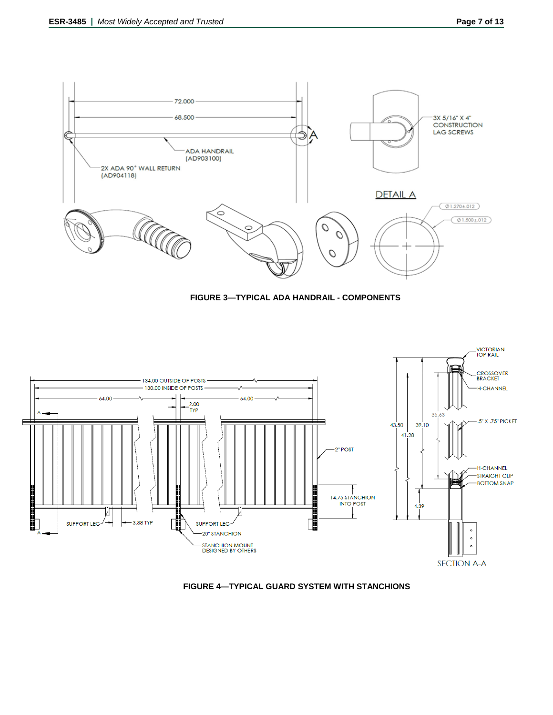







**FIGURE 4—TYPICAL GUARD SYSTEM WITH STANCHIONS**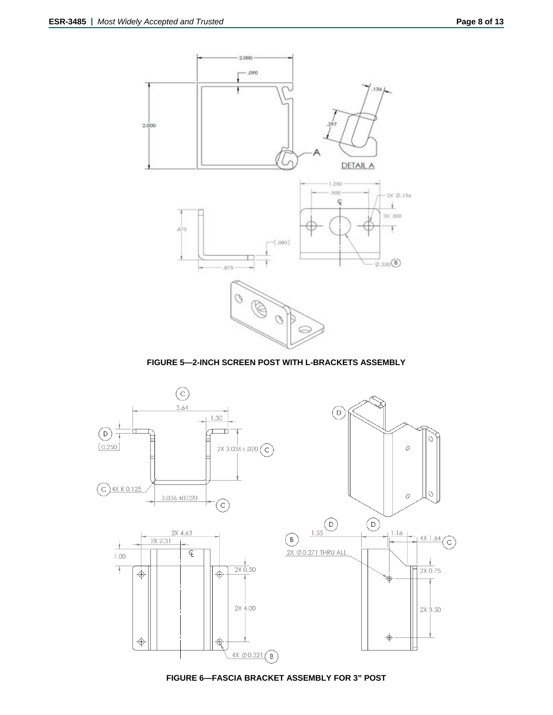

**FIGURE 5—2-INCH SCREEN POST WITH L-BRACKETS ASSEMBLY**



**FIGURE 6—FASCIA BRACKET ASSEMBLY FOR 3" POST**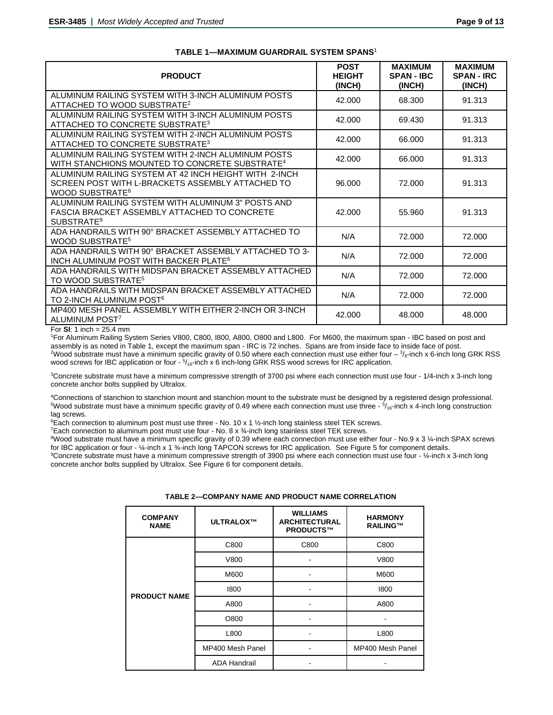| <b>PRODUCT</b>                                                                                                                           | <b>POST</b><br><b>HEIGHT</b><br>(INCH) | <b>MAXIMUM</b><br><b>SPAN - IBC</b><br>(INCH) | <b>MAXIMUM</b><br><b>SPAN - IRC</b><br>(INCH) |
|------------------------------------------------------------------------------------------------------------------------------------------|----------------------------------------|-----------------------------------------------|-----------------------------------------------|
| ALUMINUM RAILING SYSTEM WITH 3-INCH ALUMINUM POSTS<br>ATTACHED TO WOOD SUBSTRATE <sup>2</sup>                                            | 42.000                                 | 68.300                                        | 91.313                                        |
| ALUMINUM RAILING SYSTEM WITH 3-INCH ALUMINUM POSTS<br>ATTACHED TO CONCRETE SUBSTRATE <sup>3</sup>                                        | 42.000                                 | 69.430                                        | 91.313                                        |
| ALUMINUM RAILING SYSTEM WITH 2-INCH ALUMINUM POSTS<br>ATTACHED TO CONCRETE SUBSTRATE <sup>3</sup>                                        | 42.000                                 | 66.000                                        | 91.313                                        |
| ALUMINUM RAILING SYSTEM WITH 2-INCH ALUMINUM POSTS<br>WITH STANCHIONS MOUNTED TO CONCRETE SUBSTRATE <sup>4</sup>                         | 42.000                                 | 66.000                                        | 91.313                                        |
| ALUMINUM RAILING SYSTEM AT 42 INCH HEIGHT WITH 2-INCH<br>SCREEN POST WITH L-BRACKETS ASSEMBLY ATTACHED TO<br>WOOD SUBSTRATE <sup>8</sup> | 96.000                                 | 72.000                                        | 91.313                                        |
| ALUMINUM RAILING SYSTEM WITH ALUMINUM 3" POSTS AND<br>FASCIA BRACKET ASSEMBLY ATTACHED TO CONCRETE<br>SUBSTRATE <sup>9</sup>             | 42.000                                 | 55.960                                        | 91.313                                        |
| ADA HANDRAILS WITH 90° BRACKET ASSEMBLY ATTACHED TO<br><b>WOOD SUBSTRATE<sup>5</sup></b>                                                 | N/A                                    | 72.000                                        | 72.000                                        |
| ADA HANDRAILS WITH 90° BRACKET ASSEMBLY ATTACHED TO 3-<br>INCH ALUMINUM POST WITH BACKER PLATE <sup>6</sup>                              | N/A                                    | 72.000                                        | 72.000                                        |
| ADA HANDRAILS WITH MIDSPAN BRACKET ASSEMBLY ATTACHED<br>TO WOOD SUBSTRATE <sup>5</sup>                                                   | N/A                                    | 72.000                                        | 72.000                                        |
| ADA HANDRAILS WITH MIDSPAN BRACKET ASSEMBLY ATTACHED<br>TO 2-INCH ALUMINUM POST <sup>6</sup>                                             | N/A                                    | 72,000                                        | 72.000                                        |
| MP400 MESH PANEL ASSEMBLY WITH EITHER 2-INCH OR 3-INCH<br>ALUMINUM POST <sup>7</sup>                                                     | 42.000                                 | 48,000                                        | 48.000                                        |

#### **TABLE 1—MAXIMUM GUARDRAIL SYSTEM SPANS**<sup>1</sup>

For **SI**: 1 inch = 25.4 mm

1 For Aluminum Railing System Series V800, C800, I800, A800, O800 and L800. For M600, the maximum span - IBC based on post and assembly is as noted in Table 1, except the maximum span - IRC is 72 inches. Spans are from inside face to inside face of post. <sup>2</sup>Wood substrate must have a minimum specific gravity of 0.50 where each connection must use either four –  $\frac{3}{6}$ -inch x 6-inch long GRK RSS wood screws for IBC application or four -  $5/16$ -inch x 6 inch-long GRK RSS wood screws for IRC application.

3 Concrete substrate must have a minimum compressive strength of 3700 psi where each connection must use four - 1/4-inch x 3-inch long concrete anchor bolts supplied by Ultralox.

4 Connections of stanchion to stanchion mount and stanchion mount to the substrate must be designed by a registered design professional. <sup>5</sup>Wood substrate must have a minimum specific gravity of 0.49 where each connection must use three - <sup>5/</sup><sub>16</sub>-inch x 4-inch long construction lag screws.

6 Each connection to aluminum post must use three - No. 10 x 1 ½-inch long stainless steel TEK screws.

7 Each connection to aluminum post must use four - No. 8 x ¾-inch long stainless steel TEK screws.

 $8$ Wood substrate must have a minimum specific gravity of 0.39 where each connection must use either four - No.9 x 3 ¼-inch SPAX screws for IBC application or four - ¼-inch x 1 ¾-inch long TAPCON screws for IRC application. See Figure 5 for component details.

<sup>9</sup>Concrete substrate must have a minimum compressive strength of 3900 psi where each connection must use four - ¼-inch x 3-inch long concrete anchor bolts supplied by Ultralox. See Figure 6 for component details.

| <b>COMPANY</b><br><b>NAME</b> | ULTRALOX™           | <b>WILLIAMS</b><br><b>ARCHITECTURAL</b><br>PRODUCTS™ | <b>HARMONY</b><br>RAILING™ |  |
|-------------------------------|---------------------|------------------------------------------------------|----------------------------|--|
| <b>PRODUCT NAME</b>           | C800                | C800                                                 | C800                       |  |
|                               | V800                |                                                      | V800                       |  |
|                               | M600                |                                                      | M600                       |  |
|                               | 1800                |                                                      | 1800                       |  |
|                               | A800                |                                                      | A800                       |  |
|                               | O800                |                                                      |                            |  |
|                               | L800                |                                                      | L800                       |  |
|                               | MP400 Mesh Panel    |                                                      | MP400 Mesh Panel           |  |
|                               | <b>ADA Handrail</b> |                                                      |                            |  |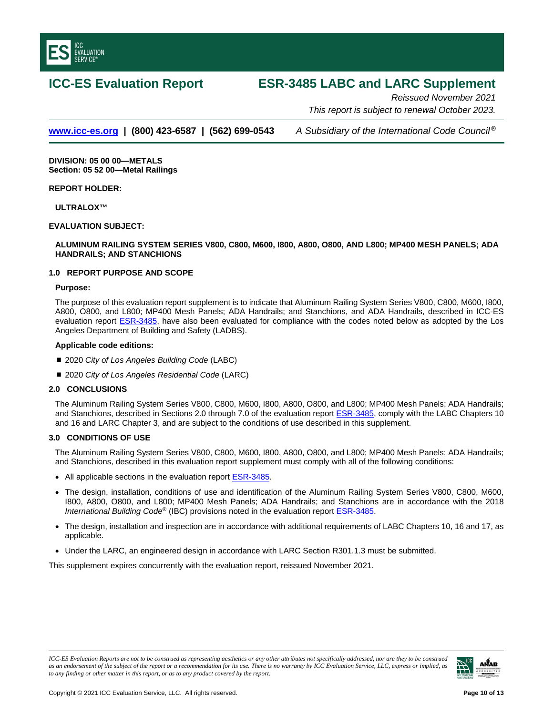<span id="page-9-0"></span>

# **ICC-ES Evaluation Report ESR-3485 LABC and LARC Supplement**

*Reissued November 2021 This report is subject to renewal October 2023.*

### **[www.icc-es.org](http://www.icc-es.org/) | (800) 423-6587 | (562) 699-0543** *A Subsidiary of the International Code Council ®*

**DIVISION: 05 00 00—METALS Section: 05 52 00—Metal Railings**

#### **REPORT HOLDER:**

**ULTRALOX™**

#### **EVALUATION SUBJECT:**

#### **ALUMINUM RAILING SYSTEM SERIES V800, C800, M600, I800, A800, O800, AND L800; MP400 MESH PANELS; ADA HANDRAILS; AND STANCHIONS**

#### **1.0 REPORT PURPOSE AND SCOPE**

#### **Purpose:**

The purpose of this evaluation report supplement is to indicate that Aluminum Railing System Series V800, C800, M600, I800, A800, O800, and L800; MP400 Mesh Panels; ADA Handrails; and Stanchions, and ADA Handrails, described in ICC-ES evaluation report **ESR-3485**, have also been evaluated for compliance with the codes noted below as adopted by the Los Angeles Department of Building and Safety (LADBS).

#### **Applicable code editions:**

- 2020 *City of Los Angeles Building Code* (LABC)
- 2020 *City of Los Angeles Residential Code* (LARC)

#### **2.0 CONCLUSIONS**

The Aluminum Railing System Series V800, C800, M600, I800, A800, O800, and L800; MP400 Mesh Panels; ADA Handrails; and Stanchions, described in Sections 2.0 through 7.0 of the evaluation report [ESR-3485,](#page-0-0) comply with the LABC Chapters 10 and 16 and LARC Chapter 3, and are subject to the conditions of use described in this supplement.

#### **3.0 CONDITIONS OF USE**

The Aluminum Railing System Series V800, C800, M600, I800, A800, O800, and L800; MP400 Mesh Panels; ADA Handrails; and Stanchions, described in this evaluation report supplement must comply with all of the following conditions:

- All applicable sections in the evaluation report **ESR-3485**.
- The design, installation, conditions of use and identification of the Aluminum Railing System Series V800, C800, M600, I800, A800, O800, and L800; MP400 Mesh Panels; ADA Handrails; and Stanchions are in accordance with the 2018 *International Building Code*® (IBC) provisions noted in the evaluation report [ESR-3485.](#page-0-0)
- The design, installation and inspection are in accordance with additional requirements of LABC Chapters 10, 16 and 17, as applicable.
- Under the LARC, an engineered design in accordance with LARC Section R301.1.3 must be submitted.

This supplement expires concurrently with the evaluation report, reissued November 2021.

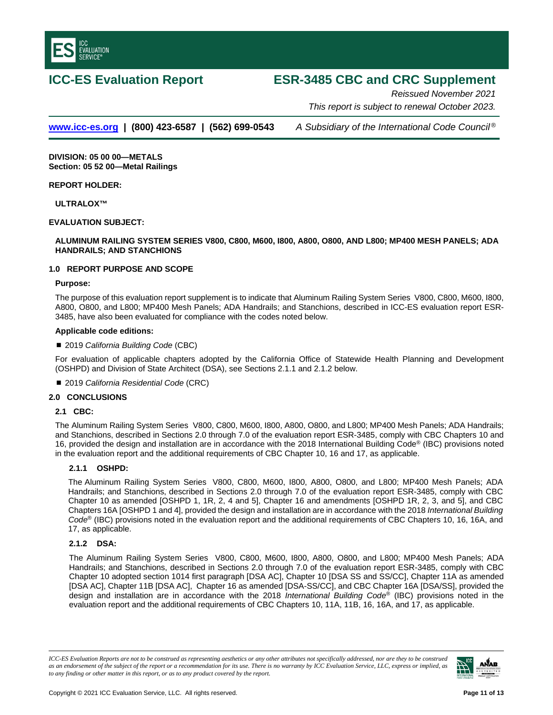<span id="page-10-0"></span>

# **ICC-ES Evaluation Report ESR-3485 CBC and CRC Supplement**

*Reissued November 2021 This report is subject to renewal October 2023.* 

**[www.icc-es.org](http://www.icc-es.org/) | (800) 423-6587 | (562) 699-0543** *A Subsidiary of the International Code Council ®*

**DIVISION: 05 00 00—METALS Section: 05 52 00—Metal Railings**

**REPORT HOLDER:**

**ULTRALOX™**

#### **EVALUATION SUBJECT:**

**ALUMINUM RAILING SYSTEM SERIES V800, C800, M600, I800, A800, O800, AND L800; MP400 MESH PANELS; ADA HANDRAILS; AND STANCHIONS**

#### **1.0 REPORT PURPOSE AND SCOPE**

#### **Purpose:**

The purpose of this evaluation report supplement is to indicate that Aluminum Railing System Series V800, C800, M600, I800, A800, O800, and L800; MP400 Mesh Panels; ADA Handrails; and Stanchions, described in ICC-ES evaluation report ESR-3485, have also been evaluated for compliance with the codes noted below.

#### **Applicable code editions:**

■ 2019 *California Building Code* (CBC)

For evaluation of applicable chapters adopted by the California Office of Statewide Health Planning and Development (OSHPD) and Division of State Architect (DSA), see Sections 2.1.1 and 2.1.2 below.

2019 *California Residential Code* (CRC)

#### **2.0 CONCLUSIONS**

#### **2.1 CBC:**

The Aluminum Railing System Series V800, C800, M600, I800, A800, O800, and L800; MP400 Mesh Panels; ADA Handrails; and Stanchions, described in Sections 2.0 through 7.0 of the evaluation report ESR-3485, comply with CBC Chapters 10 and 16, provided the design and installation are in accordance with the 2018 International Building Code® (IBC) provisions noted in the evaluation report and the additional requirements of CBC Chapter 10, 16 and 17, as applicable.

#### **2.1.1 OSHPD:**

The Aluminum Railing System Series V800, C800, M600, I800, A800, O800, and L800; MP400 Mesh Panels; ADA Handrails; and Stanchions, described in Sections 2.0 through 7.0 of the evaluation report ESR-3485, comply with CBC Chapter 10 as amended [OSHPD 1, 1R, 2, 4 and 5], Chapter 16 and amendments [OSHPD 1R, 2, 3, and 5], and CBC Chapters 16A [OSHPD 1 and 4], provided the design and installation are in accordance with the 2018 *International Building Code*® (IBC) provisions noted in the evaluation report and the additional requirements of CBC Chapters 10, 16, 16A, and 17, as applicable.

#### **2.1.2 DSA:**

The Aluminum Railing System Series V800, C800, M600, I800, A800, O800, and L800; MP400 Mesh Panels; ADA Handrails; and Stanchions, described in Sections 2.0 through 7.0 of the evaluation report ESR-3485, comply with CBC Chapter 10 adopted section 1014 first paragraph [DSA AC], Chapter 10 [DSA SS and SS/CC], Chapter 11A as amended [DSA AC], Chapter 11B [DSA AC], Chapter 16 as amended [DSA-SS/CC], and CBC Chapter 16A [DSA/SS], provided the design and installation are in accordance with the 2018 *International Building Code*® (IBC) provisions noted in the evaluation report and the additional requirements of CBC Chapters 10, 11A, 11B, 16, 16A, and 17, as applicable.

*ICC-ES Evaluation Reports are not to be construed as representing aesthetics or any other attributes not specifically addressed, nor are they to be construed as an endorsement of the subject of the report or a recommendation for its use. There is no warranty by ICC Evaluation Service, LLC, express or implied, as to any finding or other matter in this report, or as to any product covered by the report.*

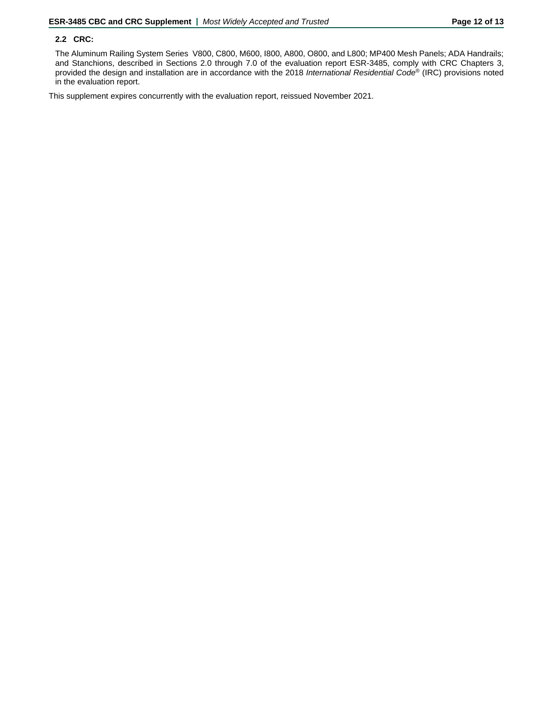#### **2.2 CRC:**

The Aluminum Railing System Series V800, C800, M600, I800, A800, O800, and L800; MP400 Mesh Panels; ADA Handrails; and Stanchions, described in Sections 2.0 through 7.0 of the evaluation report ESR-3485, comply with CRC Chapters 3, provided the design and installation are in accordance with the 2018 *International Residential Code*® (IRC) provisions noted in the evaluation report.

This supplement expires concurrently with the evaluation report, reissued November 2021.